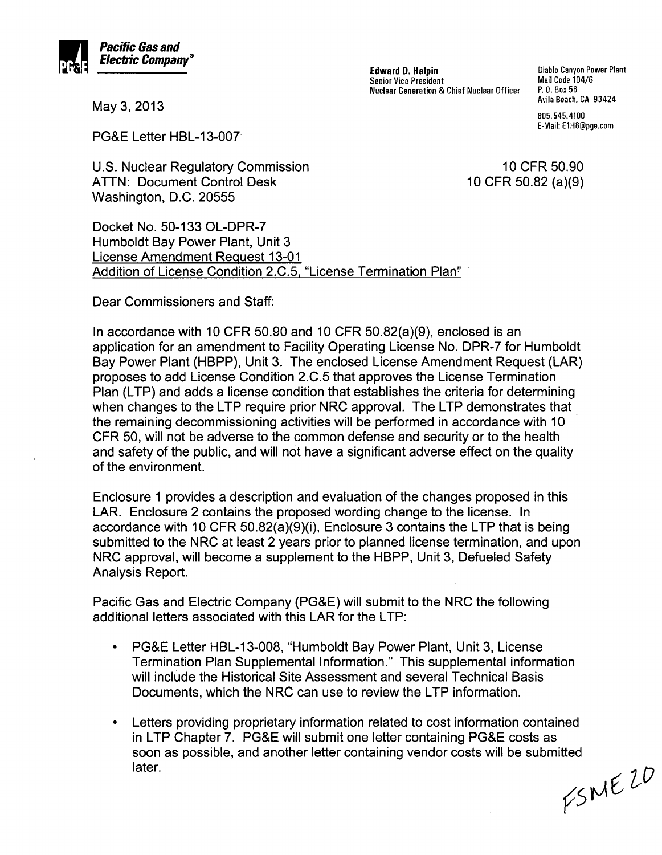

Senior Vice President Mail Code 104/6<br>
Nuclear Generation & Chief Nuclear Officer P. D. Box 56 Nuclear Generation & Chief Nuclear Officer P. 0. Box 56

 $\rm{May\ 3,\ 2013}$  Avila Beach, CA 93424

805.545.4100 E-Mail: E1H8@pge.cDm

PG&E Letter HBL-13-007

U.S. Nuclear Regulatory Commission 10 CFR 50.90 ATTN: Document Control Desk 10 CFR 50.82 (a)(9) Washington, D.C. 20555

Docket No. 50-133 OL-DPR-7 Humboldt Bay Power Plant, Unit 3 License Amendment Request 13-01 Addition of License Condition 2.C.5, "License Termination Plan"

Dear Commissioners and Staff:

In accordance with 10 CFR 50.90 and 10 CFR 50.82(a)(9), enclosed is an application for an amendment to Facility Operating License No. DPR-7 for Humboldt Bay Power Plant (HBPP), Unit 3. The enclosed License Amendment Request (LAR) proposes to add License Condition 2.C.5 that approves the License Termination Plan (LTP) and adds a license condition that establishes the criteria for determining when changes to the LTP require prior NRC approval. The LTP demonstrates that the remaining decommissioning activities will be performed in accordance with 10 CFR 50, will not be adverse to the common defense and security or to the health and safety of the public, and will not have a significant adverse effect on the quality of the environment.

Enclosure **1** provides a description and evaluation of the changes proposed in this LAR. Enclosure 2 contains the proposed wording change to the license. In accordance with 10 CFR 50.82(a)(9)(i), Enclosure 3 contains the LTP that is being submitted to the NRC at least 2 years prior to planned license termination, and upon NRC approval, will become a supplement to the HBPP, Unit 3, Defueled Safety Analysis Report.

Pacific Gas and Electric Company (PG&E) will submit to the NRC the following additional letters associated with this LAR for the LTP:

- **"** PG&E Letter HBL-13-008, "Humboldt Bay Power Plant, Unit 3, License Termination Plan Supplemental Information." This supplemental information will include the Historical Site Assessment and several Technical Basis Documents, which the NRC can use to review the LTP information.
- Letters providing proprietary information related to cost information contained in LTP Chapter 7. PG&E will submit one letter containing PG&E costs as soon as possible, and another letter containing vendor costs will be submitted later.<br>  $\sqrt{2}$ later.